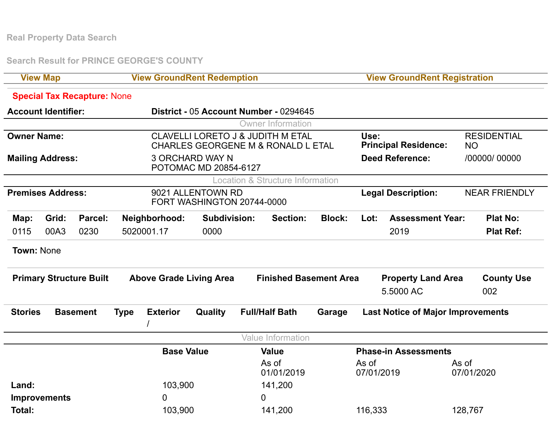**Real Property Data Search**

**Search Result for PRINCE GEORGE'S COUNTY**

| <b>View Map</b>                   |                            |                                           | <b>View GroundRent Redemption</b>                                                             |               |                     |                               |                                             |                                          | <b>View GroundRent Registration</b>    |                         |            |                                 |  |
|-----------------------------------|----------------------------|-------------------------------------------|-----------------------------------------------------------------------------------------------|---------------|---------------------|-------------------------------|---------------------------------------------|------------------------------------------|----------------------------------------|-------------------------|------------|---------------------------------|--|
|                                   |                            | <b>Special Tax Recapture: None</b>        |                                                                                               |               |                     |                               |                                             |                                          |                                        |                         |            |                                 |  |
|                                   | <b>Account Identifier:</b> |                                           | District - 05 Account Number - 0294645                                                        |               |                     |                               |                                             |                                          |                                        |                         |            |                                 |  |
|                                   |                            |                                           |                                                                                               |               |                     |                               | <b>Owner Information</b>                    |                                          |                                        |                         |            |                                 |  |
| <b>Owner Name:</b>                |                            |                                           | <b>CLAVELLI LORETO J &amp; JUDITH M ETAL</b><br><b>CHARLES GEORGENE M &amp; RONALD L ETAL</b> |               |                     |                               |                                             |                                          | Use:<br><b>Principal Residence:</b>    |                         |            | <b>RESIDENTIAL</b><br><b>NO</b> |  |
|                                   | <b>Mailing Address:</b>    |                                           | <b>3 ORCHARD WAY N</b><br>POTOMAC MD 20854-6127                                               |               |                     |                               |                                             |                                          | <b>Deed Reference:</b>                 |                         |            | /00000/ 00000                   |  |
|                                   |                            |                                           |                                                                                               |               |                     |                               | <b>Location &amp; Structure Information</b> |                                          |                                        |                         |            |                                 |  |
| <b>Premises Address:</b>          |                            |                                           | 9021 ALLENTOWN RD<br>FORT WASHINGTON 20744-0000                                               |               |                     |                               |                                             |                                          | <b>Legal Description:</b>              |                         |            | <b>NEAR FRIENDLY</b>            |  |
| Map:                              | Grid:                      | Parcel:                                   |                                                                                               | Neighborhood: | <b>Subdivision:</b> |                               | <b>Section:</b>                             | <b>Block:</b>                            | Lot:                                   | <b>Assessment Year:</b> |            | <b>Plat No:</b>                 |  |
| 0115                              | 00A3                       | 0230                                      |                                                                                               | 5020001.17    | 0000                |                               |                                             |                                          |                                        | 2019                    |            | <b>Plat Ref:</b>                |  |
| <b>Town: None</b>                 |                            |                                           |                                                                                               |               |                     |                               |                                             |                                          |                                        |                         |            |                                 |  |
| <b>Primary Structure Built</b>    |                            |                                           | <b>Above Grade Living Area</b>                                                                |               |                     | <b>Finished Basement Area</b> |                                             |                                          | <b>Property Land Area</b><br>5,5000 AC |                         |            | <b>County Use</b><br>002        |  |
| <b>Stories</b><br><b>Basement</b> |                            | <b>Exterior</b><br>Quality<br><b>Type</b> |                                                                                               |               |                     | <b>Full/Half Bath</b>         | Garage                                      | <b>Last Notice of Major Improvements</b> |                                        |                         |            |                                 |  |
|                                   |                            |                                           |                                                                                               |               |                     |                               | <b>Value Information</b>                    |                                          |                                        |                         |            |                                 |  |
|                                   |                            | <b>Base Value</b>                         |                                                                                               |               |                     | <b>Value</b>                  |                                             | <b>Phase-in Assessments</b>              |                                        |                         |            |                                 |  |
|                                   |                            |                                           |                                                                                               |               |                     | As of<br>01/01/2019           |                                             | As of<br>07/01/2019                      |                                        | As of                   | 07/01/2020 |                                 |  |
| Land:                             |                            |                                           | 103,900                                                                                       |               |                     | 141,200                       |                                             |                                          |                                        |                         |            |                                 |  |
| <b>Improvements</b>               |                            |                                           | 0                                                                                             |               |                     |                               | $\overline{0}$                              |                                          |                                        |                         |            |                                 |  |
| <b>Total:</b>                     |                            |                                           | 103,900                                                                                       |               |                     | 141,200                       |                                             | 116,333                                  |                                        |                         | 128,767    |                                 |  |